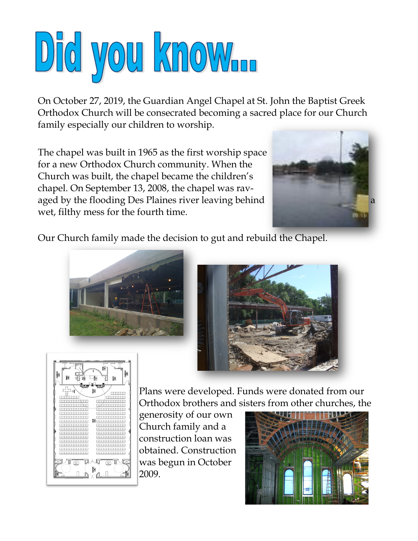

On October 27, 2019, the Guardian Angel Chapel at St. John the Baptist Greek Orthodox Church will be consecrated becoming a sacred place for our Church family especially our children to worship.

The chapel was built in 1965 as the first worship space for a new Orthodox Church community. When the Church was built, the chapel became the children's chapel. On September 13, 2008, the chapel was ravaged by the flooding Des Plaines river leaving behind wet, filthy mess for the fourth time.



Our Church family made the decision to gut and rebuild the Chapel.







Plans were developed. Funds were donated from our Orthodox brothers and sisters from other churches, the

generosity of our own Church family and a construction loan was obtained. Construction was begun in October 2009.